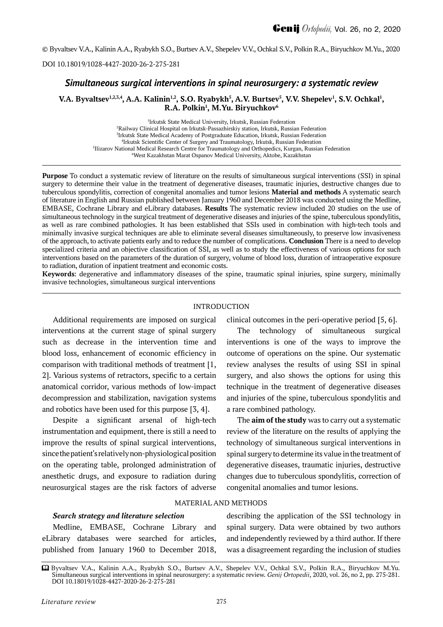© Byvaltsev V.A., Kalinin A.A., Ryabykh S.O., Burtsev A.V., Shepelev V.V., Ochkal S.V., Polkin R.A., Biryuchkov M.Yu., 2020

DOI 10.18019/1028-4427-2020-26-2-275-281

# *Simultaneous surgical interventions in spinal neurosurgery: a systematic review*

# **V.A. Byvaltsev**<sup>1,2,3,4</sup>, A.A. Kalinin<sup>1,2</sup>, S.O. Ryabykh<sup>5</sup>, A.V. Burtsev<sup>5</sup>, V.V. Shepelev<sup>1</sup>, S.V. Ochkal<sup>1</sup>, **R.A. Polkin1 , M.Yu. Biryuchkov6**

 Irkutsk State Medical University, Irkutsk, Russian Federation Railway Clinical Hospital on Irkutsk-Passazhirskiy station, Irkutsk, Russian Federation Irkutsk State Medical Academy of Postgraduate Education, Irkutsk, Russian Federation Irkutsk Scientific Center of Surgery and Traumatology, Irkutsk, Russian Federation Ilizarov National Medical Research Centre for Traumatology and Orthopedics, Kurgan, Russian Federation West Kazakhstan Marat Ospanov Medical University, Aktobe, Kazakhstan

**Purpose** To conduct a systematic review of literature on the results of simultaneous surgical interventions (SSI) in spinal surgery to determine their value in the treatment of degenerative diseases, traumatic injuries, destructive changes due to tuberculous spondylitis, correction of congenital anomalies and tumor lesions **Material and methods** A systematic search of literature in English and Russian published between January 1960 and December 2018 was conducted using the Medline, EMBASE, Cochrane Library and eLibrary databases. **Results** The systematic review included 20 studies on the use of simultaneous technology in the surgical treatment of degenerative diseases and injuries of the spine, tuberculous spondylitis, as well as rare combined pathologies. It has been established that SSIs used in combination with high-tech tools and minimally invasive surgical techniques are able to eliminate several diseases simultaneously, to preserve low invasiveness of the approach, to activate patients early and to reduce the number of complications. **Conclusion** There is a need to develop specialized criteria and an objective classification of SSI, as well as to study the effectiveness of various options for such interventions based on the parameters of the duration of surgery, volume of blood loss, duration of intraoperative exposure to radiation, duration of inpatient treatment and economic costs.

**Keywords**: degenerative and inflammatory diseases of the spine, traumatic spinal injuries, spine surgery, minimally invasive technologies, simultaneous surgical interventions

## INTRODUCTION

Additional requirements are imposed on surgical interventions at the current stage of spinal surgery such as decrease in the intervention time and blood loss, enhancement of economic efficiency in comparison with traditional methods of treatment [1, 2]. Various systems of retractors, specific to a certain anatomical corridor, various methods of low-impact decompression and stabilization, navigation systems and robotics have been used for this purpose [3, 4].

Despite a significant arsenal of high-tech instrumentation and equipment, there is still a need to improve the results of spinal surgical interventions, since the patient's relatively non-physiological position on the operating table, prolonged administration of anesthetic drugs, and exposure to radiation during neurosurgical stages are the risk factors of adverse

clinical outcomes in the peri-operative period [5, 6].

The technology of simultaneous surgical interventions is one of the ways to improve the outcome of operations on the spine. Our systematic review analyses the results of using SSI in spinal surgery, and also shows the options for using this technique in the treatment of degenerative diseases and injuries of the spine, tuberculous spondylitis and a rare combined pathology.

The **aim of the study** was to carry out a systematic review of the literature on the results of applying the technology of simultaneous surgical interventions in spinal surgery to determine its value in the treatment of degenerative diseases, traumatic injuries, destructive changes due to tuberculous spondylitis, correction of congenital anomalies and tumor lesions.

## *Search strategy and literature selection*

Medline, EMBASE, Cochrane Library and еLibrary databases were searched for articles, published from January 1960 to December 2018,

describing the application of the SSI technology in spinal surgery. Data were obtained by two authors and independently reviewed by a third author. If there was a disagreement regarding the inclusion of studies

MATERIAL AND METHODS

Byvaltsev V.A., Kalinin A.A., Ryabykh S.O., Burtsev A.V., Shepelev V.V., Ochkal S.V., Polkin R.A., Biryuchkov M.Yu. Simultaneous surgical interventions in spinal neurosurgery: a systematic review. *Genij Ortopedii*, 2020, vol. 26, no 2, pp. 275-281. DOI 10.18019/1028-4427-2020-26-2-275-281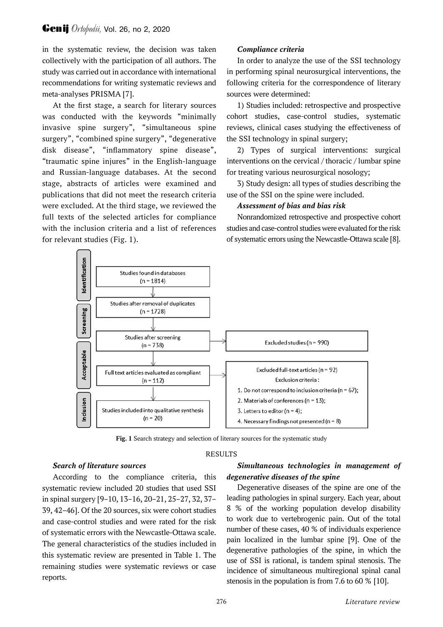in the systematic review, the decision was taken collectively with the participation of all authors. The study was carried out in accordance with international recommendations for writing systematic reviews and meta-analyses PRISMA [7].

At the first stage, a search for literary sources was conducted with the keywords "minimally invasive spine surgery", "simultaneous spine surgery", "combined spine surgery", "degenerative disk disease", "inflammatory spine disease", "traumatic spine injures" in the English-language and Russian-language databases. At the second stage, abstracts of articles were examined and publications that did not meet the research criteria were excluded. At the third stage, we reviewed the full texts of the selected articles for compliance with the inclusion criteria and a list of references for relevant studies (Fig. 1).

# *Compliance criteria*

In order to analyze the use of the SSI technology in performing spinal neurosurgical interventions, the following criteria for the correspondence of literary sources were determined:

1) Studies included: retrospective and prospective cohort studies, case-control studies, systematic reviews, clinical cases studying the effectiveness of the SSI technology in spinal surgery;

2) Types of surgical interventions: surgical interventions on the cervical / thoracic / lumbar spine for treating various neurosurgical nosology;

3) Study design: all types of studies describing the use of the SSI on the spine were included.

## *Assessment of bias and bias risk*

Nonrandomized retrospective and prospective cohort studies and case-control studies were evaluated for the risk of systematic errors using the Newcastle-Ottawa scale [8].



**Fig. 1** Search strategy and selection of literary sources for the systematic study

## RESULTS

## *Search of literature sources*

According to the compliance criteria, this systematic review included 20 studies that used SSI in spinal surgery [9–10, 13–16, 20–21, 25–27, 32, 37– 39, 42–46]. Of the 20 sources, six were cohort studies and case-control studies and were rated for the risk of systematic errors with the Newcastle-Ottawa scale. The general characteristics of the studies included in this systematic review are presented in Table 1. The remaining studies were systematic reviews or case reports.

# *Simultaneous technologies in management of degenerative diseases of the spine*

Degenerative diseases of the spine are one of the leading pathologies in spinal surgery. Each year, about 8 % of the working population develop disability to work due to vertebrogenic pain. Out of the total number of these cases, 40 % of individuals experience pain localized in the lumbar spine [9]. One of the degenerative pathologies of the spine, in which the use of SSI is rational, is tandem spinal stenosis. The incidence of simultaneous multiregional spinal canal stenosis in the population is from 7.6 to 60 % [10].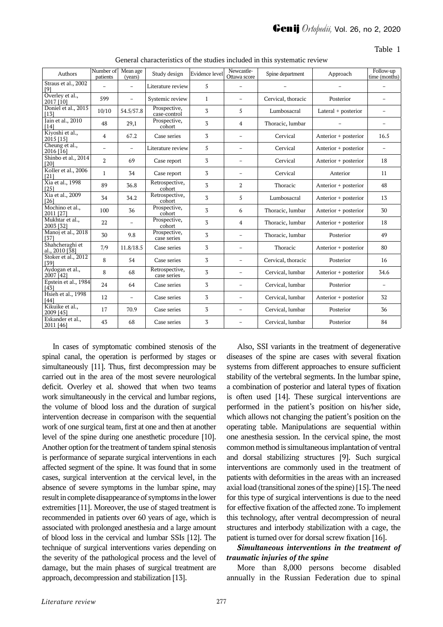Table 1

| Authors                           | Number of<br>patients | Mean age<br>(years)      | Study design                  | Evidence level | Newcastle-<br>Ottawa score | Spine department   | Approach             | Follow-up<br>time (months) |
|-----------------------------------|-----------------------|--------------------------|-------------------------------|----------------|----------------------------|--------------------|----------------------|----------------------------|
| Straus et al., 2002<br>[9]        |                       | $\overline{\phantom{0}}$ | Literature review             | 5              |                            |                    |                      |                            |
| Overley et al.,<br>2017 [10]      | 599                   | $\overline{\phantom{a}}$ | Systemic review               | $\mathbf{1}$   | $\overline{\phantom{0}}$   | Cervical, thoracic | Posterior            |                            |
| Doniel et al., 2015<br>[13]       | 10/10                 | 54.5/57.8                | Prospective,<br>case-control  | 3              | 5                          | Lumbosacral        | Lateral + posterior  | $\overline{\phantom{0}}$   |
| Jain et al., 2010<br>[14]         | 48                    | 29,1                     | Prospective,<br>cohort        | 3              | 4                          | Thoracic, lumbar   |                      |                            |
| Kiyoshi et al.,<br>2015 [15]      | $\overline{4}$        | 67.2                     | Case series                   | 3              | $\overline{\phantom{0}}$   | Cervical           | Anterior + posterior | 16.5                       |
| Cheung et al.,<br>2016 [16]       |                       |                          | Literature review             | 5              | $\overline{a}$             | Cervical           | Anterior + posterior |                            |
| Shinbo et al., 2014<br>[20]       | $\overline{2}$        | 69                       | Case report                   | 3              | $\overline{\phantom{0}}$   | Cervical           | Anterior + posterior | 18                         |
| Koller et al., 2006<br>$[21]$     | $\mathbf{1}$          | 34                       | Case report                   | 3              | $\qquad \qquad -$          | Cervical           | Anterior             | 11                         |
| Xia et al., 1998<br>[25]          | 89                    | 36.8                     | Retrospective,<br>cohort      | 3              | 2                          | Thoracic           | Anterior + posterior | 48                         |
| Xia et al., 2009<br>$[26]$        | 34                    | 34.2                     | Retrospective,<br>cohort      | 3              | 5                          | Lumbosacral        | Anterior + posterior | 13                         |
| Mochino et al.,<br>2011 [27]      | 100                   | 36                       | Prospective,<br>cohort        | 3              | 6                          | Thoracic, lumbar   | Anterior + posterior | 30                         |
| Mukhtar et al.,<br>2003 [32]      | 22                    |                          | Prospective,<br>cohort        | 3              | 4                          | Thoracic, lumbar   | Anterior + posterior | 18                         |
| Manoj et al., 2018<br>[37]        | 30                    | 9.8                      | Prospective,<br>case series   | 3              | $\overline{\phantom{0}}$   | Thoracic, lumbar   | Posterior            | 49                         |
| Shahcheraghi et<br>al., 2010 [38] | 7/9                   | 11.8/18.5                | Case series                   | 3              | $\overline{\phantom{0}}$   | Thoracic           | Anterior + posterior | 80                         |
| Stoker et al., 2012<br>[39]       | 8                     | 54                       | Case series                   | 3              | $\overline{\phantom{0}}$   | Cervical, thoracic | Posterior            | 16                         |
| Aydogan et al.,<br>2007 [42]      | 8                     | 68                       | Retrospective,<br>case series | 3              | $\qquad \qquad -$          | Cervical, lumbar   | Anterior + posterior | 34.6                       |
| Epstein et al., 1984<br>[43]      | 24                    | 64                       | Case series                   | 3              | $\overline{\phantom{0}}$   | Cervical, lumbar   | Posterior            | $\overline{\phantom{0}}$   |
| Hsieh et al., 1998<br>[44]        | 12                    | $\overline{\phantom{a}}$ | Case series                   | 3              | $\overline{\phantom{0}}$   | Cervical, lumbar   | Anterior + posterior | 32                         |
| Kikuike et al.,<br>2009 [45]      | 17                    | 70.9                     | Case series                   | 3              | $\overline{\phantom{0}}$   | Cervical, lumbar   | Posterior            | 36                         |
| Eskander et al.,<br>2011 [46]     | 43                    | 68                       | Case series                   | 3              | $\overline{a}$             | Cervical, lumbar   | Posterior            | 84                         |

General characteristics of the studies included in this systematic review

In cases of symptomatic combined stenosis of the spinal canal, the operation is performed by stages or simultaneously [11]. Thus, first decompression may be carried out in the area of the most severe neurological deficit. Overley et al. showed that when two teams work simultaneously in the cervical and lumbar regions, the volume of blood loss and the duration of surgical intervention decrease in comparison with the sequential work of one surgical team, first at one and then at another level of the spine during one anesthetic procedure [10]. Another option for the treatment of tandem spinal stenosis is performance of separate surgical interventions in each affected segment of the spine. It was found that in some cases, surgical intervention at the cervical level, in the absence of severe symptoms in the lumbar spine, may result in complete disappearance of symptoms in the lower extremities [11]. Moreover, the use of staged treatment is recommended in patients over 60 years of age, which is associated with prolonged anesthesia and a large amount of blood loss in the cervical and lumbar SSIs [12]. The technique of surgical interventions varies depending on the severity of the pathological process and the level of damage, but the main phases of surgical treatment are approach, decompression and stabilization [13].

Also, SSI variants in the treatment of degenerative diseases of the spine are cases with several fixation systems from different approaches to ensure sufficient stability of the vertebral segments. In the lumbar spine, a combination of posterior and lateral types of fixation is often used [14]. These surgical interventions are performed in the patient's position on his/her side, which allows not changing the patient's position on the operating table. Manipulations are sequential within one anesthesia session. In the cervical spine, the most common method is simultaneous implantation of ventral and dorsal stabilizing structures [9]. Such surgical interventions are commonly used in the treatment of patients with deformities in the areas with an increased axial load (transitional zones of the spine) [15]. The need for this type of surgical interventions is due to the need for effective fixation of the affected zone. To implement this technology, after ventral decompression of neural structures and interbody stabilization with a cage, the patient is turned over for dorsal screw fixation [16].

# *Simultaneous interventions in the treatment of traumatic injuries of the spine*

More than 8,000 persons become disabled annually in the Russian Federation due to spinal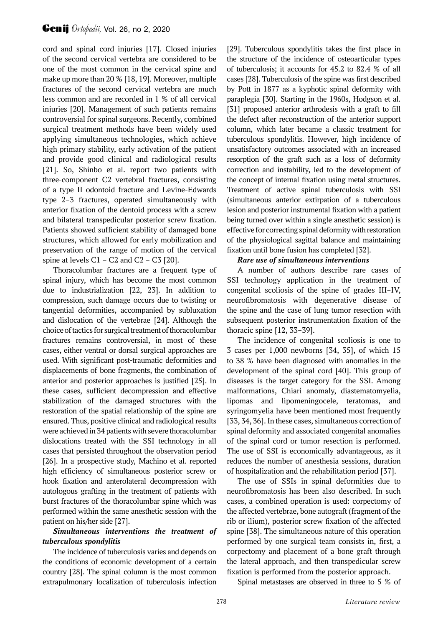cord and spinal cord injuries [17]. Closed injuries of the second cervical vertebra are considered to be one of the most common in the cervical spine and make up more than 20 % [18, 19]. Moreover, multiple fractures of the second cervical vertebra are much less common and are recorded in 1 % of all cervical injuries [20]. Management of such patients remains controversial for spinal surgeons. Recently, combined surgical treatment methods have been widely used applying simultaneous technologies, which achieve high primary stability, early activation of the patient and provide good clinical and radiological results [21]. So, Shinbo et al. report two patients with three-component C2 vertebral fractures, consisting of a type II odontoid fracture and Levine-Edwards type 2–3 fractures, operated simultaneously with anterior fixation of the dentoid process with a screw and bilateral transpedicular posterior screw fixation. Patients showed sufficient stability of damaged bone structures, which allowed for early mobilization and preservation of the range of motion of the cervical spine at levels  $C1 - C2$  and  $C2 - C3$  [20].

Thoracolumbar fractures are a frequent type of spinal injury, which has become the most common due to industrialization [22, 23]. In addition to compression, such damage occurs due to twisting or tangential deformities, accompanied by subluxation and dislocation of the vertebrae [24]. Although the choice of tactics for surgical treatment of thoracolumbar fractures remains controversial, in most of these cases, either ventral or dorsal surgical approaches are used. With significant post-traumatic deformities and displacements of bone fragments, the combination of anterior and posterior approaches is justified [25]. In these cases, sufficient decompression and effective stabilization of the damaged structures with the restoration of the spatial relationship of the spine are ensured. Thus, positive clinical and radiological results were achieved in 34 patients with severe thoracolumbar dislocations treated with the SSI technology in all cases that persisted throughout the observation period [26]. In a prospective study, Machino et al. reported high efficiency of simultaneous posterior screw or hook fixation and anterolateral decompression with autologous grafting in the treatment of patients with burst fractures of the thoracolumbar spine which was performed within the same anesthetic session with the patient on his/her side [27].

# *Simultaneous interventions the treatment of tuberculous spondylitis*

The incidence of tuberculosis varies and depends on the conditions of economic development of a certain country [28]. The spinal column is the most common extrapulmonary localization of tuberculosis infection

[29]. Tuberculous spondylitis takes the first place in the structure of the incidence of osteoarticular types of tuberculosis; it accounts for 45.2 to 82.4 % of all cases [28]. Tuberculosis of the spine was first described by Pott in 1877 as a kyphotic spinal deformity with paraplegia [30]. Starting in the 1960s, Hodgson et al. [31] proposed anterior arthrodesis with a graft to fill the defect after reconstruction of the anterior support column, which later became a classic treatment for tuberculous spondylitis. However, high incidence of unsatisfactory outcomes associated with an increased resorption of the graft such as a loss of deformity correction and instability, led to the development of the concept of internal fixation using metal structures. Treatment of active spinal tuberculosis with SSI (simultaneous anterior extirpation of a tuberculous lesion and posterior instrumental fixation with a patient being turned over within a single anesthetic session) is effective for correcting spinal deformity with restoration of the physiological sagittal balance and maintaining fixation until bone fusion has completed [32].

# *Rare use of simultaneous interventions*

A number of authors describe rare cases of SSI technology application in the treatment of congenital scoliosis of the spine of grades III–IV, neurofibromatosis with degenerative disease of the spine and the case of lung tumor resection with subsequent posterior instrumentation fixation of the thoracic spine [12, 33–39].

The incidence of congenital scoliosis is one to 3 cases per 1,000 newborns [34, 35], of which 15 to 38 % have been diagnosed with anomalies in the development of the spinal cord [40]. This group of diseases is the target category for the SSI. Among malformations, Chiari anomaly, diastematomyelia, lipomas and lipomeningocele, teratomas, and syringomyelia have been mentioned most frequently [33, 34, 36]. In these cases, simultaneous correction of spinal deformity and associated congenital anomalies of the spinal cord or tumor resection is performed. The use of SSI is economically advantageous, as it reduces the number of anesthesia sessions, duration of hospitalization and the rehabilitation period [37].

The use of SSIs in spinal deformities due to neurofibromatosis has been also described. In such cases, a combined operation is used: corpectomy of the affected vertebrae, bone autograft (fragment of the rib or ilium), posterior screw fixation of the affected spine [38]. The simultaneous nature of this operation performed by one surgical team consists in, first, a corpectomy and placement of a bone graft through the lateral approach, and then transpedicular screw fixation is performed from the posterior approach.

Spinal metastases are observed in three to 5 % of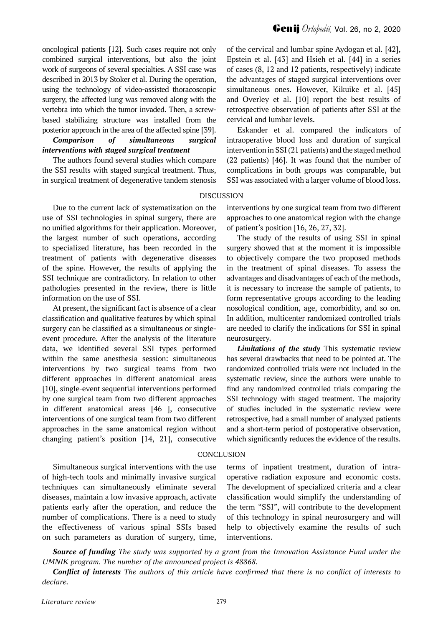oncological patients [12]. Such cases require not only combined surgical interventions, but also the joint work of surgeons of several specialties. A SSI case was described in 2013 by Stoker et al. During the operation, using the technology of video-assisted thoracoscopic surgery, the affected lung was removed along with the vertebra into which the tumor invaded. Then, a screwbased stabilizing structure was installed from the posterior approach in the area of the affected spine [39].

*Comparison of simultaneous surgical interventions with staged surgical treatment*

The authors found several studies which compare the SSI results with staged surgical treatment. Thus, in surgical treatment of degenerative tandem stenosis **Genij** *Ortobedii*, Vol. 26, no 2, 2020

of the cervical and lumbar spine Aydogan et al. [42], Epstein et al. [43] and Hsieh et al. [44] in a series of cases (8, 12 and 12 patients, respectively) indicate the advantages of staged surgical interventions over simultaneous ones. However, Kikuike et al. [45] and Overley et al. [10] report the best results of retrospective observation of patients after SSI at the cervical and lumbar levels.

Eskander et al. compared the indicators of intraoperative blood loss and duration of surgical intervention in SSI (21 patients) and the staged method (22 patients) [46]. It was found that the number of complications in both groups was comparable, but SSI was associated with a larger volume of blood loss.

### DISCUSSION

Due to the current lack of systematization on the use of SSI technologies in spinal surgery, there are no unified algorithms for their application. Moreover, the largest number of such operations, according to specialized literature, has been recorded in the treatment of patients with degenerative diseases of the spine. However, the results of applying the SSI technique are contradictory. In relation to other pathologies presented in the review, there is little information on the use of SSI.

At present, the significant fact is absence of a clear classification and qualitative features by which spinal surgery can be classified as a simultaneous or singleevent procedure. After the analysis of the literature data, we identified several SSI types performed within the same anesthesia session: simultaneous interventions by two surgical teams from two different approaches in different anatomical areas [10], single-event sequential interventions performed by one surgical team from two different approaches in different anatomical areas [46 ], consecutive interventions of one surgical team from two different approaches in the same anatomical region without changing patient's position [14, 21], consecutive

Simultaneous surgical interventions with the use of high-tech tools and minimally invasive surgical techniques can simultaneously eliminate several diseases, maintain a low invasive approach, activate patients early after the operation, and reduce the number of complications. There is a need to study the effectiveness of various spinal SSIs based on such parameters as duration of surgery, time,

interventions by one surgical team from two different approaches to one anatomical region with the change of patient's position [16, 26, 27, 32].

The study of the results of using SSI in spinal surgery showed that at the moment it is impossible to objectively compare the two proposed methods in the treatment of spinal diseases. To assess the advantages and disadvantages of each of the methods, it is necessary to increase the sample of patients, to form representative groups according to the leading nosological condition, age, comorbidity, and so on. In addition, multicenter randomized controlled trials are needed to clarify the indications for SSI in spinal neurosurgery.

*Limitations of the study* This systematic review has several drawbacks that need to be pointed at. The randomized controlled trials were not included in the systematic review, since the authors were unable to find any randomized controlled trials comparing the SSI technology with staged treatment. The majority of studies included in the systematic review were retrospective, had a small number of analyzed patients and a short-term period of postoperative observation, which significantly reduces the evidence of the results.

### **CONCLUSION**

terms of inpatient treatment, duration of intraoperative radiation exposure and economic costs. The development of specialized criteria and a clear classification would simplify the understanding of the term "SSI", will contribute to the development of this technology in spinal neurosurgery and will help to objectively examine the results of such interventions.

*Source of funding The study was supported by a grant from the Innovation Assistance Fund under the UMNIK program. The number of the announced project is 48868.*

*Conflict of interests The authors of this article have confirmed that there is no conflict of interests to declare.*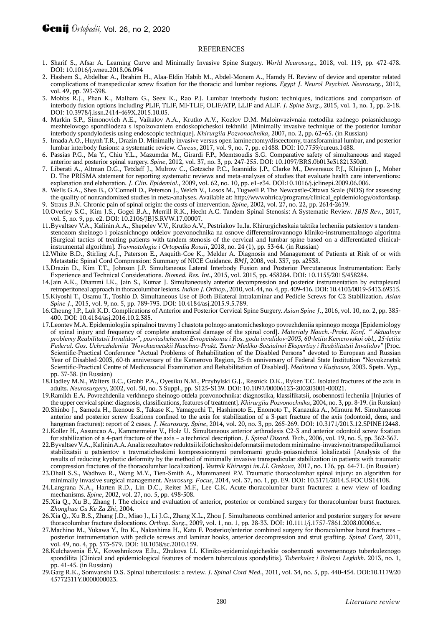#### **REFERENCES**

- 1. Sharif S., Afsar A. Learning Curve and Minimally Invasive Spine Surgery. *World Neurosurg*., 2018, vol. 119, pp. 472-478. DOI: 10.1016/j.wneu.2018.06.094
- 2. Hashem S., Abdelbar A., Ibrahim H., Alaa-Eldin Habib M., Abdel-Monem A., Hamdy H. Review of device and operator related complications of transpedicular screw fixation for the thoracic and lumbar regions. *Egypt J. Neurol Psychiat. Neurosurg*., 2012, vol. 49, pp. 393-398.
- 3. Mobbs R.J., Phan K., Malham G., Seex K., Rao P.J. Lumbar interbody fusion: techniques, indications and comparison of interbody fusion options including PLIF, TLIF, MI-TLIF, OLIF/ATP, LLIF and ALIF. *J. Spine Surg*., 2015, vol. 1, no. 1, pp. 2-18. DOI: 10.3978/j.issn.2414-469X.2015.10.05.
- 4. Markin S.P., Simonovich A.E., Vaikalov A.A., Krutko A.V., Kozlov D.M. Maloinvazivnaia metodika zadnego poiasnichnogo mezhtelovogo spondilodeza s ispolzovaniem endoskopicheskoi tekhniki [Minimally invasive technique of the posterior lumbar interbody spondylodesis using endoscopic technique]. *Khirurgiia Pozvonochnika*, 2007, no. 2, pp. 62–65. (in Russian)
- 5. Imada A.O., Huynh T.R., Drazin D. Minimally invasive versus open laminectomy/discectomy, transforaminal lumbar, and posterior lumbar interbody fusions: a systematic review. *Cureus*, 2017, vol. 9, no. 7, pp. e1488. DOI: 10.7759/cureus.1488.
- 6. Passias P.G., Ma Y., Chiu Y.L., Mazumdar M., Girardi F.P., Memtsoudis S.G. Comparative safety of simultaneous and staged anterior and posterior spinal surgery. *Spine*, 2012, vol. 37, no. 3, pp. 247-255. DOI: 10.1097/BRS.0b013e31821350d0.
- 7. Liberati A., Altman D.G., Tetzlaff J., Mulrow C., Gøtzsche P.C., Ioannidis J.P., Clarke M., Devereaux P.J., Kleijnen J., Moher D. The PRISMA statement for reporting systematic reviews and meta-analyses of studies that evaluate health care interventions: explanation and elaboration. *J. Clin. Epidemiol*., 2009, vol. 62, no. 10, pp. e1-e34. DOI:10.1016/j.jclinepi.2009.06.006.
- 8. Wells G.A., Shea B., O'Connell D., Peterson J., Welch V., Losos M., Tugwell P. The Newcastle-Ottawa Scale (NOS) for assessing the quality of nonrandomized studies in meta-analyses. Available at: http://wwwohrica/programs/clinical\_epidemiology/oxfordasp. 9. Straus B.N. Chronic pain of spinal origin: the costs of intervention. *Spine*, 2002, vol. 27, no. 22, pp. 2614-2619.
- 10.Overley S.C., Kim J.S., Gogel B.A., Merrill R.K., Hecht A.C. Tandem Spinal Stenosis: A Systematic Review. *JBJS Rev*., 2017, vol. 5, no. 9, pp. e2. DOI: 10.2106/JBJS.RVW.17.00007.
- 11.Byvaltsev V.A., Kalinin A.A., Shepelev V.V., Krutko A.V., Pestriakov Iu.Ia. Khirurgicheskaia taktika lecheniia patsientov s tandemstenozom sheinogo i poiasnichnogo otdelov pozvonochnika na osnove differentsirovannogo kliniko-instrumentalnogo algoritma [Surgical tactics of treating patients with tandem stenosis of the cervical and lumbar spine based on a differentiated clinicalinstrumental algorithm]. *Travmatologia i Ortopedia Rossii*, 2018, no. 24 (1), pp. 53-64. (in Russian)
- 12.White B.D., Stirling A.J., Paterson E., Asquith-Coe K., Melder A. Diagnosis and Management of Patients at Risk of or with Metastatic Spinal Cord Compression: Summary of NICE Guidance. *BMJ*, 2008, vol. 337, pp. a2538.
- 13.Drazin D., Kim T.T., Johnson J.P. Simultaneous Lateral Interbody Fusion and Posterior Percutaneous Instrumentation: Early Experience and Technical Considerations. *Biomed. Res. Int*., 2015, vol. 2015, pp. 458284. DOI: 10.1155/2015/458284.
- 14.Jain A.K., Dhammi I.K., Jain S., Kumar J. Simultaneously anterior decompression and posterior instrumentation by extrapleural retroperitoneal approach in thoracolumbar lesions. *Indian J. Orthop*., 2010, vol. 44, no. 4, pp. 409-416. DOI: 10.4103/0019-5413.69315.
- 15.Kiyoshi T., Osamu T., Toshio D. Simultaneous Use of Both Bilateral Intralaminar and Pedicle Screws for C2 Stabilization. *Asian Spine J*., 2015, vol. 9, no. 5, pp. 789-793. DOI: 10.4184/asj.2015.9.5.789.
- 16.Cheung J.P., Luk K.D. Complications of Anterior and Posterior Cervical Spine Surgery. *Asian Spine J*., 2016, vol. 10, no. 2, pp. 385- 400. DOI: 10.4184/asj.2016.10.2.385.
- 17.Leontev M.A. Epidemiologiia spinalnoi travmy I chastota polnogo anatomicheskogo povrezhdeniia spinnogo mozga [Epidemiology of spinal injury and frequency of complete anatomical damage of the spinal cord]. *Materialy Nauch.-Prakt. Konf. " Aktualnye problemy Reabilitatsii Invalidov", posviashchennoi Evropeiskomu i Ros. godu invalidov-2003, 60-letiiu Kemerovskoi obl., 25-letiiu Federal. Gos. Uchrezhdeniia "Novokuznetskii Nauchno-Prakt. Tsentr Mediko-Sotsialnoi Ekspertizy i Reabilitatsii Invalidov"* [Proc. Scientific-Practical Conference "Actual Problems of Rehabilitation of the Disabled Persons" devoted to European and Russian Year of Disabled-2003, 60-th anniversary of the Kemerovo Region, 25-th anniversary of Federal State Institution "Novokznetsk Scientific-Practical Centre of Medicosocial Examination and Rehabilitation of Disabled]. *Meditsina v Kuzbasse*, 2003. Spets. Vyp., pp. 37-38. (in Russian)
- 18.Hadley M.N., Walters B.C., Grabb P.A., Oyesiku N.M., Przybylski G.J., Resnick D.K., Ryken T.C. Isolated fractures of the axis in adults. *Neurosurgery*, 2002, vol. 50, no. 3 Suppl., pp. S125-S139. DOI: 10.1097/00006123-200203001-00021.
- 19.Ramikh E.A. Povrezhdeniia verkhnego sheinogo otdela pozvonochnika: diagnostika, klassifikatsii, osobennosti lecheniia [Injuries of the upper cervical spine: diagnosis, classifications, features of treatment]. *Khirurgiia Pozvonochnika*, 2004, no. 3, pp. 8-19. (in Russian)
- 20.Shinbo J., Sameda H., Ikenoue S., Takase K., Yamaguchi T., Hashimoto E., Enomoto T., Kanazuka A., Mimura M. Simultaneous anterior and posterior screw fixations confined to the axis for stabilization of a 3-part fracture of the axis (odontoid, dens, and hangman fractures): report of 2 cases. *J. Neurosurg. Spine*, 2014, vol. 20, no. 3, pp. 265-269. DOI: 10.3171/2013.12.SPINE12448.
- 21.Koller H., Assuncao A., Kammermeier V., Holz U. Simultaneous anterior arthrodesis C2-3 and anterior odontoid screw fixation for stabilization of a 4-part fracture of the axis – a technical description. *J. Spinal Disord. Tech*., 2006, vol. 19, no. 5, pp. 362-367.
- 22.Byvaltsev V.A., Kalinin A.A. Analiz rezultatov reduktsii kifoticheskoi deformatsii metodom minimalno-invazivnoi transpedikuliarnoi stabilizatsii u patsientov s travmaticheskimi kompressionnymi perelomami grudo-poiasnichnoi lokalizatsii [Analysis of the results of reducing kyphotic deformity by the method of minimally invasive transpedicular stabilization in patients with traumatic compression fractures of the thoracolumbar localization]. *Vestnik Khirurgii im.I.I. Grekova*, 2017, no. 176, pp. 64-71. (in Russian)
- 23.Dhall S.S., Wadhwa R., Wang M.Y., Tien-Smith A., Mummaneni P.V. Traumatic thoracolumbar spinal injury: an algorithm for minimally invasive surgical management. *Neurosurg. Focus*, 2014, vol. 37, no. 1, pp. E9. DOI: 10.3171/2014.5.FOCUS14108.
- 24.Langrana N.A., Harten R.D., Lin D.C., Reiter M.F., Lee C.K. Acute thoracolumbar burst fractures: a new view of loading mechanisms. *Spine*, 2002, vol. 27, no. 5, pp. 498-508.
- 25.Xia Q., Xu B., Zhang J. The choice and evaluation of anterior, posterior or combined surgery for thoracolumbar burst fractures. *Zhonghua Gu Ke Za Zhi*, 2004.
- 26.Xia Q., Xu B.S., Zhang J.D., Miao J., Li J.G., Zhang X.L., Zhou J. Simultaneous combined anterior and posterior surgery for severe thoracolumbar fracture dislocations. *Orthop. Surg*., 2009, vol. 1, no. 1, pp. 28-33. DOI: 10.1111/j.1757-7861.2008.00006.x.
- 27.Machino M., Yukawa Y., Ito K., Nakashima H., Kato F. Posterior/anterior combined surgery for thoracolumbar burst fractures posterior instrumentation with pedicle screws and laminar hooks, anterior decompression and strut grafting. *Spinal Cord*, 2011, vol. 49, no. 4, pp. 573-579. DOI: 10.1038/sc.2010.159.
- 28.Kulchavenia E.V., Koveshnikova E.Iu., Zhukova I.I. Kliniko-epidemiologicheskie osobennosti sovremennogo tuberkuleznogo spondilita [Clinical and epidemiological features of modern tuberculous spondylitis]. *Tuberkulez i Bolezni Legkikh*. 2013, no. 1, pp. 41-45. (in Russian)
- 29.Garg R.K., Somvanshi D.S. Spinal tuberculosis: a review. *J. Spinal Cord Med*., 2011, vol. 34, no. 5, pp. 440-454. DOI:10.1179/20 45772311Y.0000000023.